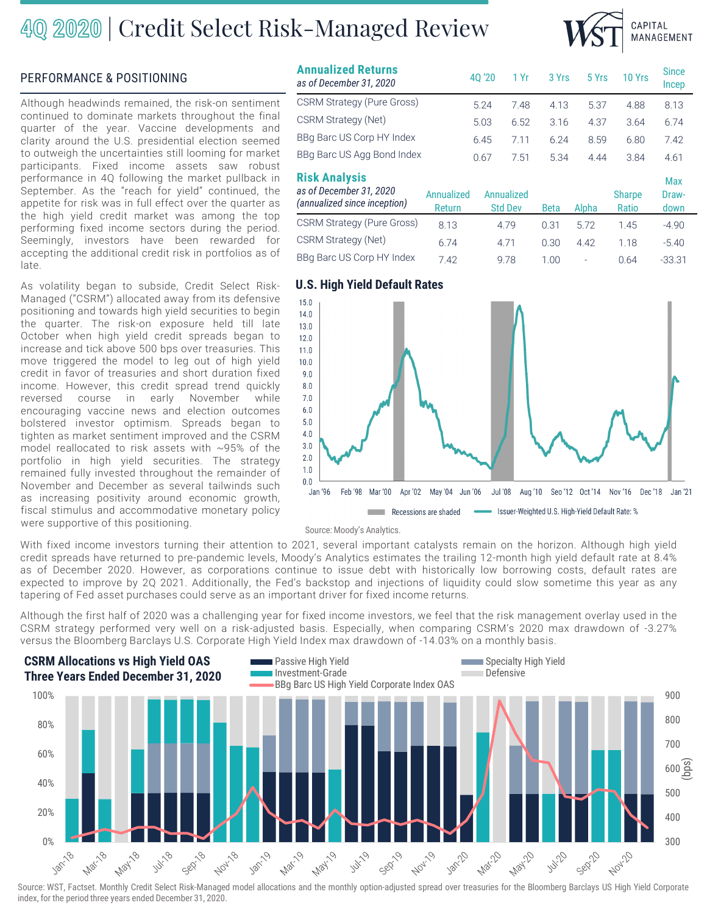## 40 2020 | Credit Select Risk-Managed Review



### PERFORMANCE & POSITIONING

Although headwinds remained, the risk-on sentiment continued to dominate markets throughout the final quarter of the year. Vaccine developments and clarity around the U.S. presidential election seemed to outweigh the uncertainties still looming for market participants. Fixed income assets saw robust performance in 4Q following the market pullback in September. As the "reach for yield" continued, the appetite for risk was in full effect over the quarter as the high yield credit market was among the top performing fixed income sectors during the period. Seemingly, investors have been rewarded for accepting the additional credit risk in portfolios as of late.

As volatility began to subside, Credit Select Risk-Managed ("CSRM") allocated away from its defensive positioning and towards high yield securities to begin the quarter. The risk-on exposure held till late October when high yield credit spreads began to increase and tick above 500 bps over treasuries. This move triggered the model to leg out of high yield credit in favor of treasuries and short duration fixed income. However, this credit spread trend quickly reversed course in early November while encouraging vaccine news and election outcomes bolstered investor optimism. Spreads began to tighten as market sentiment improved and the CSRM model reallocated to risk assets with ~95% of the portfolio in high yield securities. The strategy remained fully invested throughout the remainder of November and December as several tailwinds such as increasing positivity around economic growth, fiscal stimulus and accommodative monetary policy were supportive of this positioning.

| <b>Annualized Returns</b><br>as of December 31, 2020                            |                      | 40 '20                       | 1 Yr | 3 Yrs       | 5 Yrs | 10 Yrs                 | <b>Since</b><br><b>Incep</b> |
|---------------------------------------------------------------------------------|----------------------|------------------------------|------|-------------|-------|------------------------|------------------------------|
| <b>CSRM Strategy (Pure Gross)</b>                                               |                      | 5.24                         | 7.48 | 4.13        | 5.37  | 4.88                   | 8.13                         |
| CSRM Strategy (Net)                                                             |                      | 5.03                         | 6.52 | 3.16        | 4.37  | 3.64                   | 6.74                         |
| BBg Barc US Corp HY Index                                                       |                      | 6.45                         | 7.11 | 6.24        | 8.59  | 6.80                   | 7.42                         |
| BBq Barc US Agg Bond Index                                                      |                      | 0.67                         | 7.51 | 5.34        | 4.44  | 3.84                   | 4.61                         |
| <b>Risk Analysis</b><br>as of December 31, 2020<br>(annualized since inception) | Annualized<br>Return | Annualized<br><b>Std Dev</b> |      | <b>Beta</b> | Alpha | <b>Sharpe</b><br>Ratio | <b>Max</b><br>Draw-<br>down  |
| <b>CSRM Strategy (Pure Gross)</b>                                               | 8.13                 | 4.79                         |      | 0.31        | 5.72  | 1.45                   | $-4.90$                      |
| CSRM Strategy (Net)                                                             | 6.74                 | 4.71                         |      | 0.30        | 4.42  | 1.18                   | $-5.40$                      |
| BBq Barc US Corp HY Index                                                       | 7.42                 | 9.78                         |      | 1.00        |       | 0.64                   | $-33.31$                     |

### **U.S. High Yield Default Rates**



Source: Moody's Analytics.

With fixed income investors turning their attention to 2021, several important catalysts remain on the horizon. Although high yield credit spreads have returned to pre-pandemic levels, Moody's Analytics estimates the trailing 12-month high yield default rate at 8.4% as of December 2020. However, as corporations continue to issue debt with historically low borrowing costs, default rates are expected to improve by 2Q 2021. Additionally, the Fed's backstop and injections of liquidity could slow sometime this year as any tapering of Fed asset purchases could serve as an important driver for fixed income returns.

Although the first half of 2020 was a challenging year for fixed income investors, we feel that the risk management overlay used in the CSRM strategy performed very well on a risk-adjusted basis. Especially, when comparing CSRM's 2020 max drawdown of -3.27% versus the Bloomberg Barclays U.S. Corporate High Yield Index max drawdown of -14.03% on a monthly basis.



Source: WST, Factset. Monthly Credit Select Risk-Managed model allocations and the monthly option-adjusted spread over treasuries for the Bloomberg Barclays US High Yield Corporate index, for the period three years ended December 31, 2020.